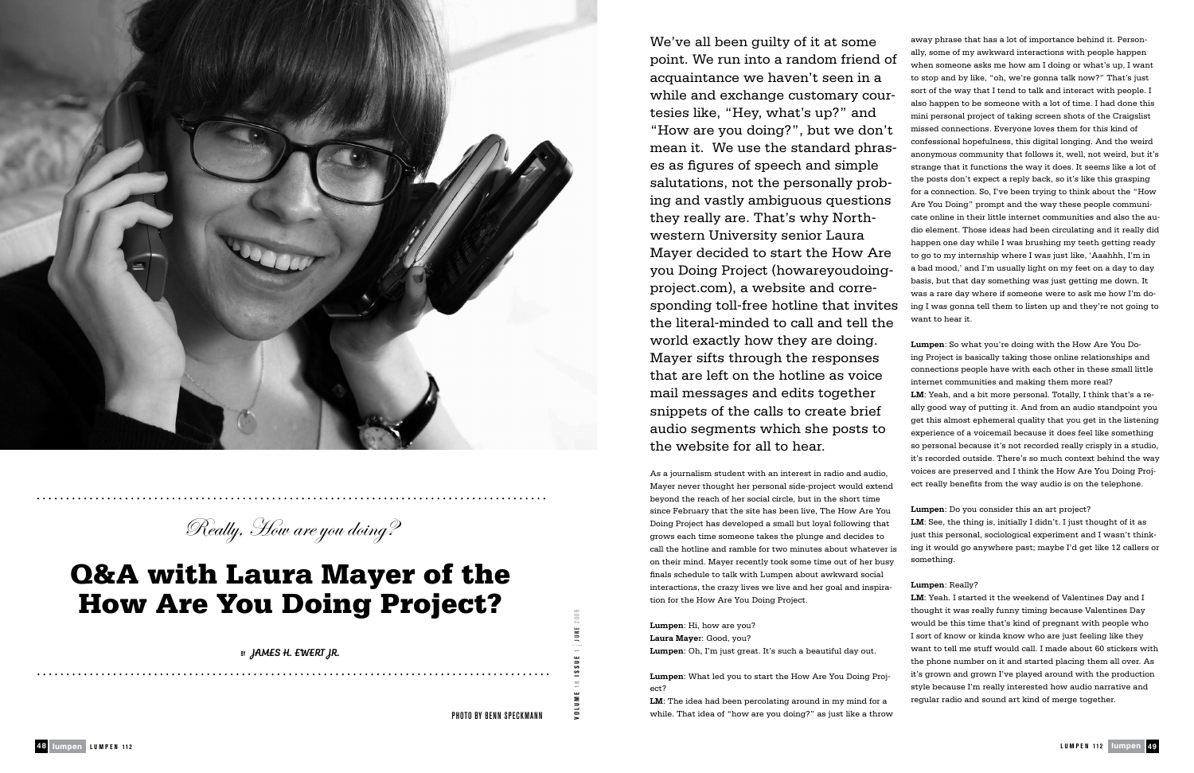beyond the reach of her social circle, but in the short time since February that the site has been live, The How Are You Doing Project has developed a small but loyal following that grows each time someone takes the plunge and decides to call the hotline and ramble for two minutes about whatever is on their mind. Mayer recently took some time out of her busy finals schedule to talk with Lumpen about awkward social interactions, the crazy lives we live and her goal and inspiration for the How Are You Doing Project.

**Lumpen**: Hi, how are you? **Laura Maye**r: Good, you? **Lumpen**: Oh, I'm just great. It's such a beautiful day out.

**Lumpen**: What led you to start the How Are You Doing Project?

**LM**: The idea had been percolating around in my mind for a while. That idea of "how are you doing?" as just like a throw

We've all been guilty of it at some point. We run into a random friend of acquaintance we haven't seen in a while and exchange customary courtesies like, "Hey, what's up?" and "How are you doing?", but we don't mean it. We use the standard phrases as figures of speech and simple salutations, not the personally probing and vastly ambiguous questions they really are. That's why Northwestern University senior Laura Mayer decided to start the How Are you Doing Project (howareyoudoingproject.com), a website and corresponding toll-free hotline that invites the literal-minded to call and tell the world exactly how they are doing. Mayer sifts through the responses that are left on the hotline as voice mail messages and edits together snippets of the calls to create brief audio segments which she posts to the website for all to hear. As a journalism student with an interest in radio and audio, Mayer never thought her personal side-project would extend away phrase that has a lot of importance behind it. Personally, some of my awkward interactions with people happen when someone asks me how am I doing or what's up, I want to stop and by like, "oh, we're gonna talk now?" That's just sort of the way that I tend to talk and interact with people. I also happen to be someone with a lot of time. I had done this mini personal project of taking screen shots of the Craigslist missed connections. Everyone loves them for this kind of confessional hopefulness, this digital longing. And the weird anonymous community that follows it, well, not weird, but it's strange that it functions the way it does. It seems like a lot of the posts don't expect a reply back, so it's like this grasping for a connection. So, I've been trying to think about the "How Are You Doing" prompt and the way these people communicate online in their little internet communities and also the audio element. Those ideas had been circulating and it really did happen one day while I was brushing my teeth getting ready to go to my internship where I was just like, 'Aaahhh, I'm in a bad mood,' and I'm usually light on my feet on a day to day basis, but that day something was just getting me down. It was a rare day where if someone were to ask me how I'm doing I was gonna tell them to listen up and they're not going to want to hear it. **Lumpen**: So what you're doing with the How Are You Doing Project is basically taking those online relationships and connections people have with each other in these small little internet communities and making them more real? **LM**: Yeah, and a bit more personal. Totally, I think that's a really good way of putting it. And from an audio standpoint you get this almost ephemeral quality that you get in the listening experience of a voicemail because it does feel like something so personal because it's not recorded really crisply in a studio, it's recorded outside. There's so much context behind the way voices are preserved and I think the How Are You Doing Project really benefits from the way audio is on the telephone.

> **Lumpen**: Do you consider this an art project? **LM**: See, the thing is, initially I didn't. I just thought of it as just this personal, sociological experiment and I wasn't thinking it would go anywhere past; maybe I'd get like 12 callers or something.

**Lumpen**: Really?

**LM**: Yeah. I started it the weekend of Valentines Day and I thought it was really funny timing because Valentines Day would be this time that's kind of pregnant with people who I sort of know or kinda know who are just feeling like they want to tell me stuff would call. I made about 60 stickers with the phone number on it and started placing them all over. As it's grown and grown I've played around with the production style because I'm really interested how audio narrative and regular radio and sound art kind of merge together.



Really, How are you doing?

## Q&A with Laura Mayer of the How Are You Doing Project?

BY JAMES H. EWERT JR.

Photo by Benn Speckmann

**VOL UME 1 8 I S S UE 1** J U NE 2009

lumpen **L UMPEN 112** lumpen 49